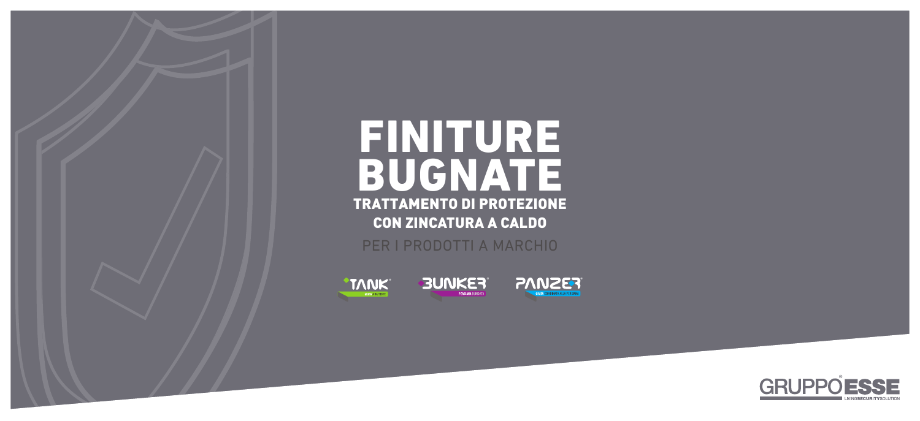

# FINTURE BUGNATE TRATTAMENTO DI PROTEZIONE CON ZINCATURA A CALDO PER I PRODOTTI A MARCHIO







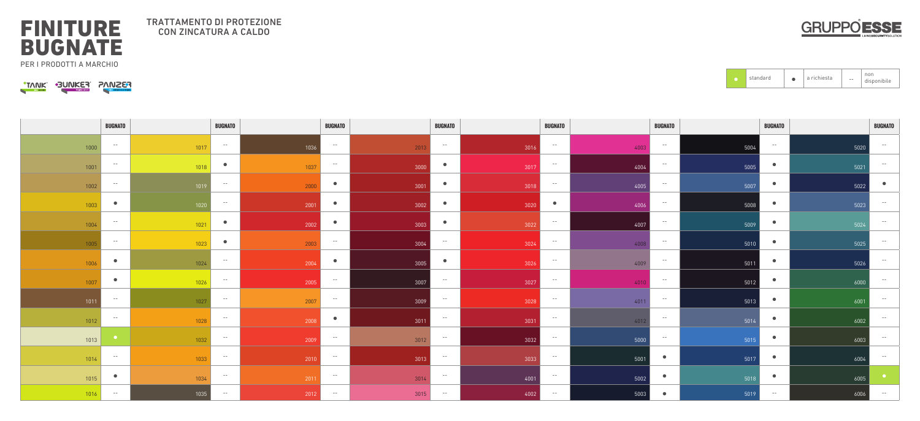|      | <b>BUGNATO</b> |      | <b>BUGNATO</b>  |        | <b>BUGNATO</b> |               | <b>BUGNATO</b>         | <b>BUGNATO</b>    | <b>BUGNATO</b>        | <b>BUGNATO</b>    | <b>BUGNATO</b> |
|------|----------------|------|-----------------|--------|----------------|---------------|------------------------|-------------------|-----------------------|-------------------|----------------|
| 1000 | $- -$          | 1017 | $- -$           | 1036   | $- - -$        | $-2013$       | $  \,$<br>3016         | $- -$<br>4003     | $- -$<br>500          | $- -$<br>5020     | $- -$          |
| 1001 | $- -$          | 1018 | $\bullet$       | 1037   | $- - -$        | $\sqrt{3000}$ | $\bullet$<br>3017      | $- -$<br>4004     | $- -$<br>5005         | $\bullet$<br>5021 | $- -$          |
| 1002 | $- - -$        | 1019 | $- -$           | 2000   | $\bullet$      | 3001          | $\bullet$<br>3018      | $- -$<br>4005     | $- -$<br>5007         | $\bullet$<br>5022 | $\bullet$      |
| 1003 | $\bullet$      | 1020 | $- -$           | 2001   | $\bullet$      | 3002          | 3020                   | $\bullet$<br>4006 | $- -$<br>5008         | 5023              | $- -$          |
| 1004 | $- -$          | 1021 | <b>Security</b> | 2002   | $\bullet$      | 3003          | 3022                   | $- -$<br>4007     | $- -$<br>$\sqrt{500}$ | 5024              | $- -$          |
| 1005 | $- -$          | 1023 | $\bullet$       | 2003   | $- - -$        | 3004          | $- -$<br>3024          | $- -$<br>4008     | $- -$<br>5010         | 5025              | $- -$          |
| 1006 | $\bullet$      | 1024 | $- -$           | 2004   | $\bullet$      | 3005          | $\bullet$<br>3026      | $- -$<br>4009     | $- - -$<br>$-501'$    | $\bullet$<br>5026 | $- -$          |
| 1007 | $\bullet$      | 1026 | $- -$           | 2005   | $\sim$ $ -$    | 3007          | $- -$<br>3027          | $- -$<br>4010     | $- -$<br>5012         | 6000              | $- -$          |
|      | $- -$          |      | $- -$           |        | $- - -$        |               | $- -$                  | $- -$             | $- -$                 |                   | $- -$          |
| 1011 | $- -$          | 1027 | $- -$           | 2007   | $\bullet$      | 3009          | 3028<br>$\sim$ $ \sim$ | 4011<br>$- -$     | 5013<br>$- - -$       | 6001<br>$\bullet$ | $- -$          |
| 1012 |                | 1028 | $- -$           | 2008   | $- - -$        | $3011$        | 3031<br>$\sim$ $ \sim$ | 4012<br>$- -$     | 5014<br>$- - -$       | 6002              | $- -$          |
| 1013 |                | 1032 |                 | 2009   |                | 3012          | 3032                   | 5000              | 5015                  | $\bullet$<br>6003 |                |
| 1014 | $- -$          | 1033 | $- -$           | 2010   | $- - -$        | 3013          | $- -$<br>3033          | $- -$<br>5001     | $\bullet$<br>5017     | $\bullet$<br>6004 | $- -$          |
| 1015 | $\bullet$      | 1034 | $- -$           | $2011$ | $- - -$        | 3014          | $- -$<br>4001          | $- -$<br>5002     | $\bullet$<br>5018     | $\bullet$<br>6005 |                |
| 1016 | $- - -$        | 1035 | $\sim$ $ \sim$  | 2012   | $- - -$        | 3015          | 4002<br>$- -$          | 5003<br>$- -$     | 5019                  | 6006<br>$- -$     | $- -$          |

 $\begin{array}{|c|c|} \hline \textbf{•} & \textbf{standa} \end{array}$ 



### FINITURE BUGNATE PER I PRODOTTI A MARCHIO

|--|

#### TRATTAMENTO DI PROTEZIONE CON ZINCATURA A CALDO